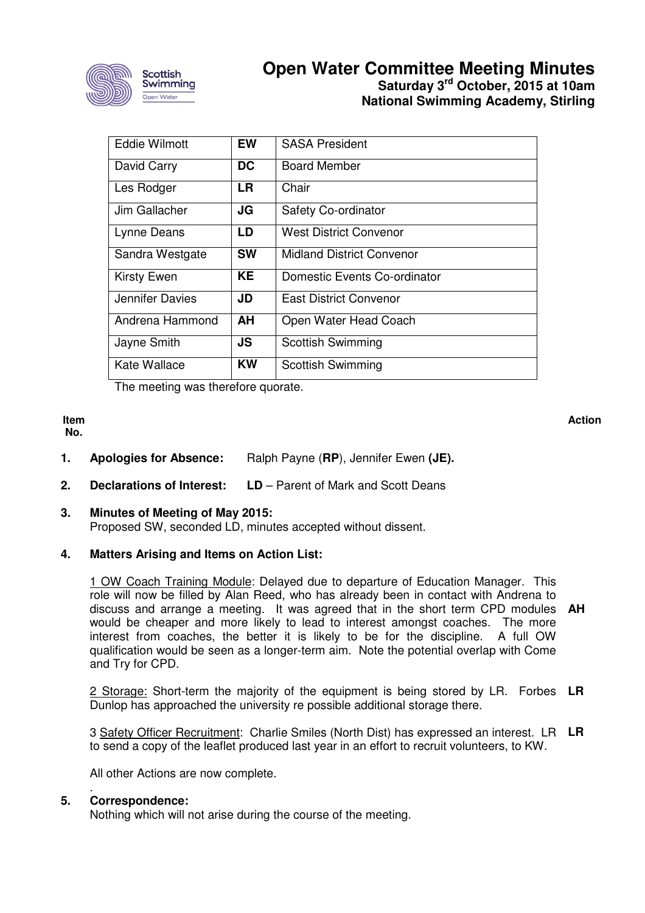

## **Open Water Committee Meeting Minutes Saturday 3rd October, 2015 at 10am National Swimming Academy, Stirling**

| <b>Eddie Wilmott</b> | <b>EW</b> | <b>SASA President</b>            |
|----------------------|-----------|----------------------------------|
| David Carry          | <b>DC</b> | <b>Board Member</b>              |
| Les Rodger           | <b>LR</b> | Chair                            |
| Jim Gallacher        | JG        | Safety Co-ordinator              |
| Lynne Deans          | LD        | West District Convenor           |
| Sandra Westgate      | <b>SW</b> | <b>Midland District Convenor</b> |
| <b>Kirsty Ewen</b>   | <b>KE</b> | Domestic Events Co-ordinator     |
| Jennifer Davies      | JD        | East District Convenor           |
| Andrena Hammond      | AH        | Open Water Head Coach            |
| Jayne Smith          | <b>JS</b> | <b>Scottish Swimming</b>         |
| Kate Wallace         | <b>KW</b> | <b>Scottish Swimming</b>         |

The meeting was therefore quorate.

**Item No.** 

**Action**

- **1. Apologies for Absence:** Ralph Payne (**RP**), Jennifer Ewen **(JE).**
- **2. Declarations of Interest: LD** Parent of Mark and Scott Deans

## **3. Minutes of Meeting of May 2015:**

Proposed SW, seconded LD, minutes accepted without dissent.

### **4. Matters Arising and Items on Action List:**

1 OW Coach Training Module: Delayed due to departure of Education Manager. This role will now be filled by Alan Reed, who has already been in contact with Andrena to discuss and arrange a meeting. It was agreed that in the short term CPD modules would be cheaper and more likely to lead to interest amongst coaches. The more interest from coaches, the better it is likely to be for the discipline. A full OW qualification would be seen as a longer-term aim. Note the potential overlap with Come and Try for CPD. **AH** 

2 Storage: Short-term the majority of the equipment is being stored by LR. Forbes **LR**  Dunlop has approached the university re possible additional storage there.

3 Safety Officer Recruitment: Charlie Smiles (North Dist) has expressed an interest. LR **LR**  to send a copy of the leaflet produced last year in an effort to recruit volunteers, to KW.

All other Actions are now complete.

#### . **5. Correspondence:**

Nothing which will not arise during the course of the meeting.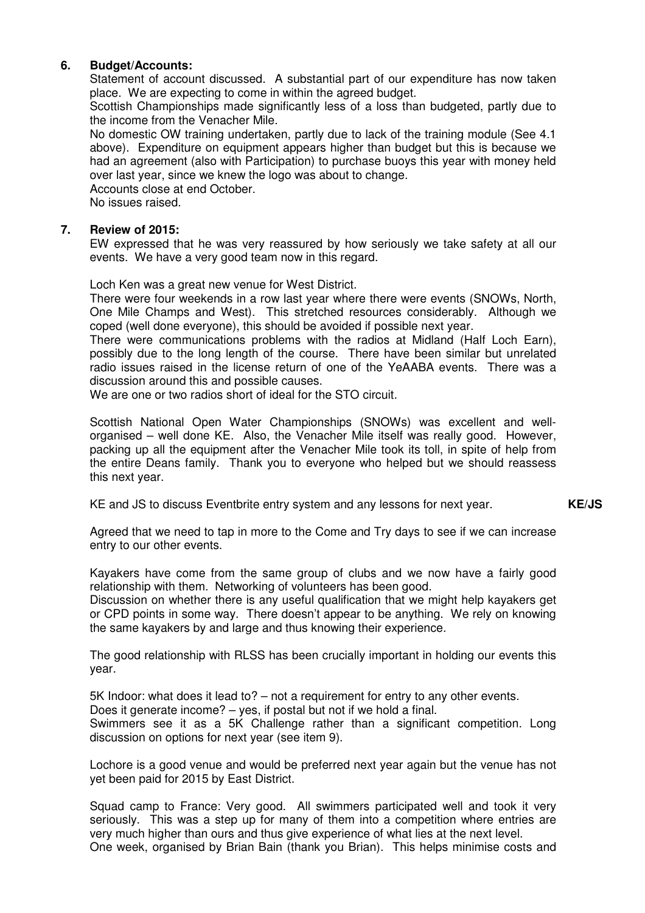## **6. Budget/Accounts:**

Statement of account discussed. A substantial part of our expenditure has now taken place. We are expecting to come in within the agreed budget.

Scottish Championships made significantly less of a loss than budgeted, partly due to the income from the Venacher Mile.

No domestic OW training undertaken, partly due to lack of the training module (See 4.1 above). Expenditure on equipment appears higher than budget but this is because we had an agreement (also with Participation) to purchase buoys this year with money held over last year, since we knew the logo was about to change.

Accounts close at end October.

No issues raised.

### **7. Review of 2015:**

EW expressed that he was very reassured by how seriously we take safety at all our events. We have a very good team now in this regard.

Loch Ken was a great new venue for West District.

There were four weekends in a row last year where there were events (SNOWs, North, One Mile Champs and West). This stretched resources considerably. Although we coped (well done everyone), this should be avoided if possible next year.

There were communications problems with the radios at Midland (Half Loch Earn), possibly due to the long length of the course. There have been similar but unrelated radio issues raised in the license return of one of the YeAABA events. There was a discussion around this and possible causes.

We are one or two radios short of ideal for the STO circuit.

Scottish National Open Water Championships (SNOWs) was excellent and wellorganised – well done KE. Also, the Venacher Mile itself was really good. However, packing up all the equipment after the Venacher Mile took its toll, in spite of help from the entire Deans family. Thank you to everyone who helped but we should reassess this next year.

KE and JS to discuss Eventbrite entry system and any lessons for next year.

**KE/JS** 

Agreed that we need to tap in more to the Come and Try days to see if we can increase entry to our other events.

Kayakers have come from the same group of clubs and we now have a fairly good relationship with them. Networking of volunteers has been good.

Discussion on whether there is any useful qualification that we might help kayakers get or CPD points in some way. There doesn't appear to be anything. We rely on knowing the same kayakers by and large and thus knowing their experience.

The good relationship with RLSS has been crucially important in holding our events this year.

5K Indoor: what does it lead to? – not a requirement for entry to any other events. Does it generate income? – yes, if postal but not if we hold a final. Swimmers see it as a 5K Challenge rather than a significant competition. Long discussion on options for next year (see item 9).

Lochore is a good venue and would be preferred next year again but the venue has not yet been paid for 2015 by East District.

Squad camp to France: Very good. All swimmers participated well and took it very seriously. This was a step up for many of them into a competition where entries are very much higher than ours and thus give experience of what lies at the next level. One week, organised by Brian Bain (thank you Brian). This helps minimise costs and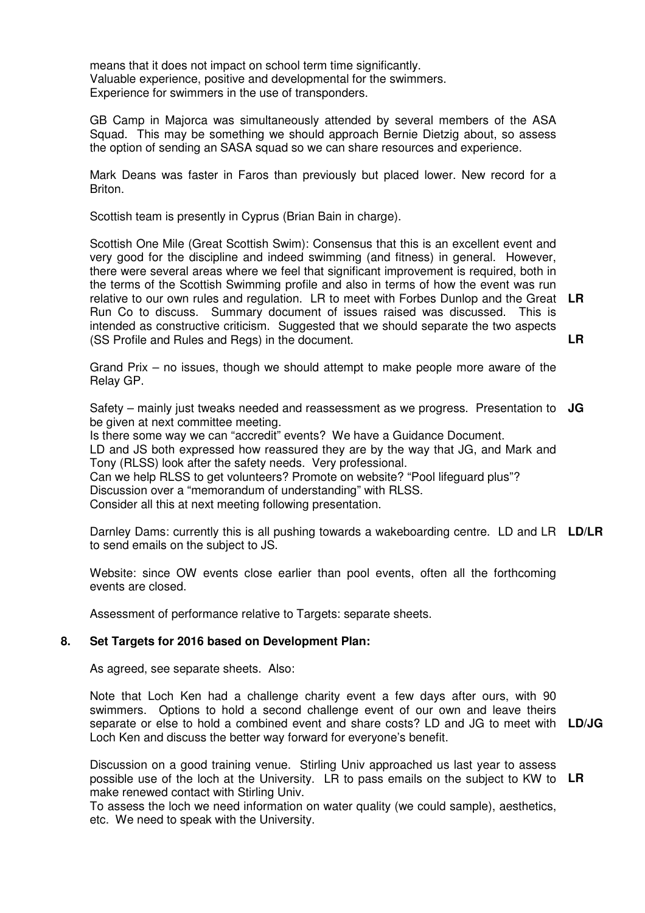means that it does not impact on school term time significantly. Valuable experience, positive and developmental for the swimmers. Experience for swimmers in the use of transponders.

GB Camp in Majorca was simultaneously attended by several members of the ASA Squad. This may be something we should approach Bernie Dietzig about, so assess the option of sending an SASA squad so we can share resources and experience.

Mark Deans was faster in Faros than previously but placed lower. New record for a Briton.

Scottish team is presently in Cyprus (Brian Bain in charge).

Scottish One Mile (Great Scottish Swim): Consensus that this is an excellent event and very good for the discipline and indeed swimming (and fitness) in general. However, there were several areas where we feel that significant improvement is required, both in the terms of the Scottish Swimming profile and also in terms of how the event was run relative to our own rules and regulation. LR to meet with Forbes Dunlop and the Great **LR**  Run Co to discuss. Summary document of issues raised was discussed. This is intended as constructive criticism. Suggested that we should separate the two aspects (SS Profile and Rules and Regs) in the document. **LR** 

Grand Prix – no issues, though we should attempt to make people more aware of the Relay GP.

Safety – mainly just tweaks needed and reassessment as we progress. Presentation to **JG**  be given at next committee meeting.

Is there some way we can "accredit" events? We have a Guidance Document. LD and JS both expressed how reassured they are by the way that JG, and Mark and Tony (RLSS) look after the safety needs. Very professional. Can we help RLSS to get volunteers? Promote on website? "Pool lifeguard plus"?

Discussion over a "memorandum of understanding" with RLSS.

Consider all this at next meeting following presentation.

Darnley Dams: currently this is all pushing towards a wakeboarding centre. LD and LR **LD/LR**  to send emails on the subject to JS.

Website: since OW events close earlier than pool events, often all the forthcoming events are closed.

Assessment of performance relative to Targets: separate sheets.

## **8. Set Targets for 2016 based on Development Plan:**

As agreed, see separate sheets. Also:

Note that Loch Ken had a challenge charity event a few days after ours, with 90 swimmers. Options to hold a second challenge event of our own and leave theirs separate or else to hold a combined event and share costs? LD and JG to meet with **LD/JG**  Loch Ken and discuss the better way forward for everyone's benefit.

Discussion on a good training venue. Stirling Univ approached us last year to assess possible use of the loch at the University. LR to pass emails on the subject to KW to **LR** make renewed contact with Stirling Univ.

To assess the loch we need information on water quality (we could sample), aesthetics, etc. We need to speak with the University.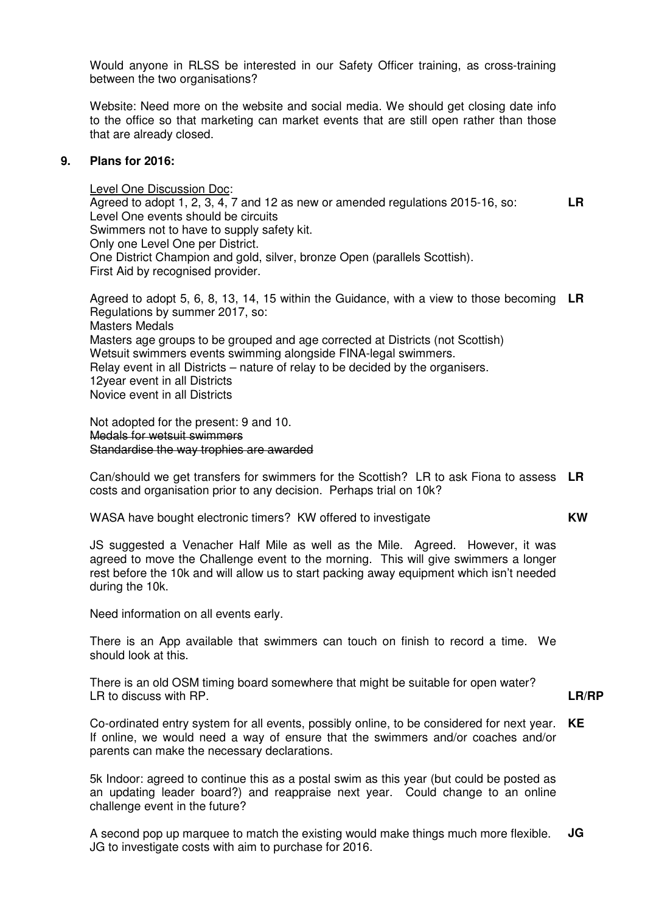Would anyone in RLSS be interested in our Safety Officer training, as cross-training between the two organisations?

Website: Need more on the website and social media. We should get closing date info to the office so that marketing can market events that are still open rather than those that are already closed.

### **9. Plans for 2016:**

Level One Discussion Doc: Agreed to adopt 1, 2, 3, 4, 7 and 12 as new or amended regulations 2015-16, so: Level One events should be circuits Swimmers not to have to supply safety kit. Only one Level One per District. One District Champion and gold, silver, bronze Open (parallels Scottish). First Aid by recognised provider. **LR** 

Agreed to adopt 5, 6, 8, 13, 14, 15 within the Guidance, with a view to those becoming **LR**  Regulations by summer 2017, so: Masters Medals Masters age groups to be grouped and age corrected at Districts (not Scottish) Wetsuit swimmers events swimming alongside FINA-legal swimmers. Relay event in all Districts – nature of relay to be decided by the organisers. 12year event in all Districts Novice event in all Districts

Not adopted for the present: 9 and 10. Medals for wetsuit swimmers Standardise the way trophies are awarded

Can/should we get transfers for swimmers for the Scottish? LR to ask Fiona to assess **LR**  costs and organisation prior to any decision. Perhaps trial on 10k?

WASA have bought electronic timers? KW offered to investigate **KW** 

JS suggested a Venacher Half Mile as well as the Mile. Agreed. However, it was agreed to move the Challenge event to the morning. This will give swimmers a longer rest before the 10k and will allow us to start packing away equipment which isn't needed during the 10k.

Need information on all events early.

There is an App available that swimmers can touch on finish to record a time. We should look at this.

There is an old OSM timing board somewhere that might be suitable for open water? LR to discuss with RP.

**LR/RP** 

Co-ordinated entry system for all events, possibly online, to be considered for next year. If online, we would need a way of ensure that the swimmers and/or coaches and/or parents can make the necessary declarations. **KE** 

5k Indoor: agreed to continue this as a postal swim as this year (but could be posted as an updating leader board?) and reappraise next year. Could change to an online challenge event in the future?

A second pop up marquee to match the existing would make things much more flexible. JG to investigate costs with aim to purchase for 2016. **JG**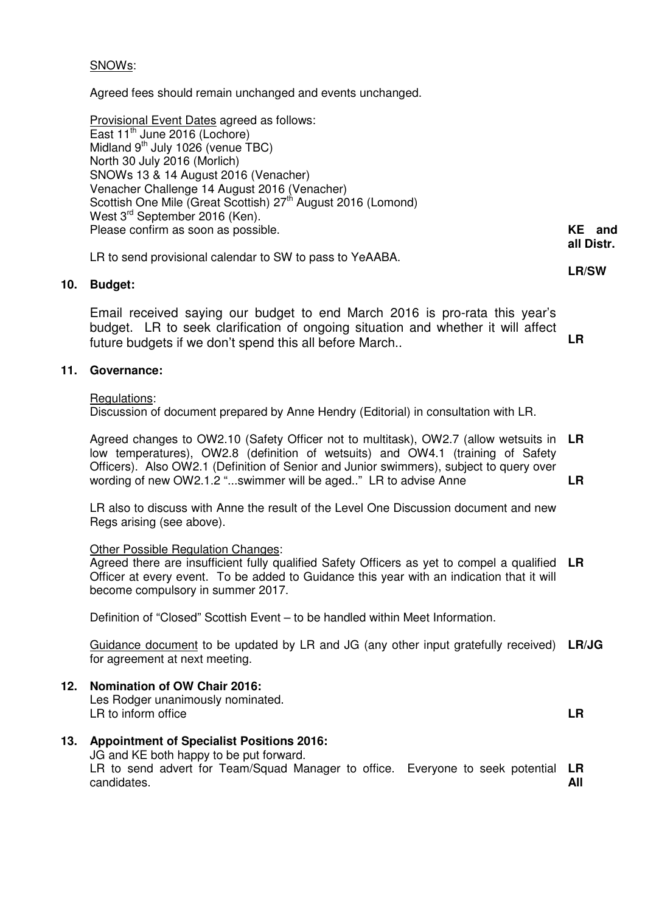## SNOWs:

Agreed fees should remain unchanged and events unchanged.

Provisional Event Dates agreed as follows: East  $11^{\text{th}}$  June 2016 (Lochore) Midland  $9<sup>th</sup>$  July 1026 (venue TBC) North 30 July 2016 (Morlich) SNOWs 13 & 14 August 2016 (Venacher) Venacher Challenge 14 August 2016 (Venacher) Scottish One Mile (Great Scottish) 27<sup>th</sup> August 2016 (Lomond) West 3<sup>rd</sup> September 2016 (Ken). Please confirm as soon as possible.

LR to send provisional calendar to SW to pass to YeAABA.

### **10. Budget:**

Email received saying our budget to end March 2016 is pro-rata this year's budget. LR to seek clarification of ongoing situation and whether it will affect future budgets if we don't spend this all before March.. **LR** 

### **11. Governance:**

#### Regulations:

Discussion of document prepared by Anne Hendry (Editorial) in consultation with LR.

Agreed changes to OW2.10 (Safety Officer not to multitask), OW2.7 (allow wetsuits in low temperatures), OW2.8 (definition of wetsuits) and OW4.1 (training of Safety Officers). Also OW2.1 (Definition of Senior and Junior swimmers), subject to query over wording of new OW2.1.2 "...swimmer will be aged.." LR to advise Anne **LR LR** 

LR also to discuss with Anne the result of the Level One Discussion document and new Regs arising (see above).

### Other Possible Regulation Changes:

Agreed there are insufficient fully qualified Safety Officers as yet to compel a qualified **LR**  Officer at every event. To be added to Guidance this year with an indication that it will become compulsory in summer 2017.

Definition of "Closed" Scottish Event – to be handled within Meet Information.

Guidance document to be updated by LR and JG (any other input gratefully received) **LR/JG**  for agreement at next meeting.

**12. Nomination of OW Chair 2016:**

Les Rodger unanimously nominated. LR to inform office **LR** 

**13. Appointment of Specialist Positions 2016:** JG and KE both happy to be put forward. LR to send advert for Team/Squad Manager to office. Everyone to seek potential **LR**  candidates. **All** 

**KE and all Distr.** 

**LR/SW**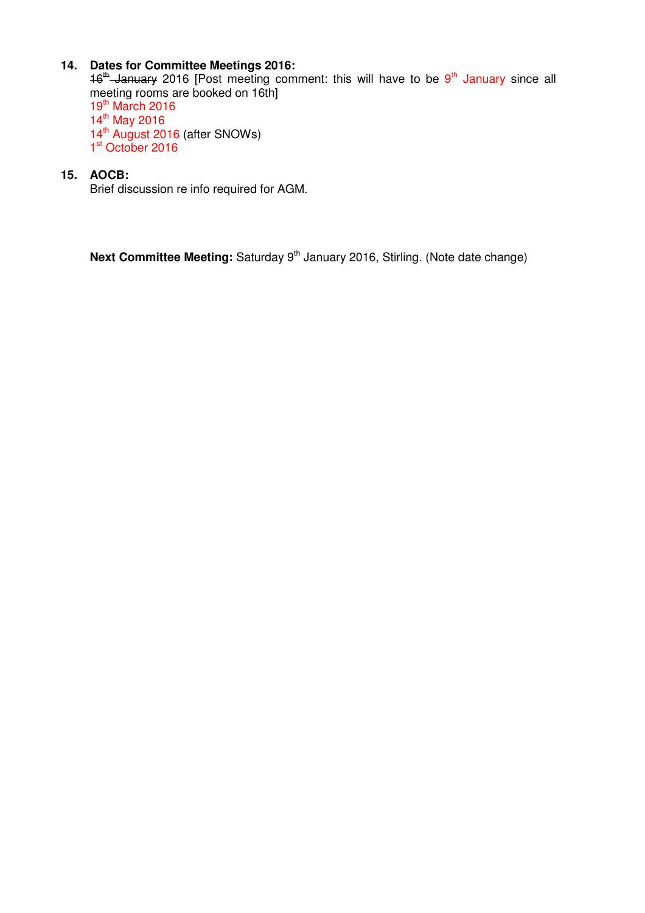## **14. Dates for Committee Meetings 2016:**

16<sup>th</sup> January 2016 [Post meeting comment: this will have to be 9<sup>th</sup> January since all meeting rooms are booked on 16th] 19th March 2016 14<sup>th</sup> May 2016 14<sup>th</sup> August 2016 (after SNOWs) 1<sup>st</sup> October 2016

## **15. AOCB:**

Brief discussion re info required for AGM.

**Next Committee Meeting:** Saturday 9<sup>th</sup> January 2016, Stirling. (Note date change)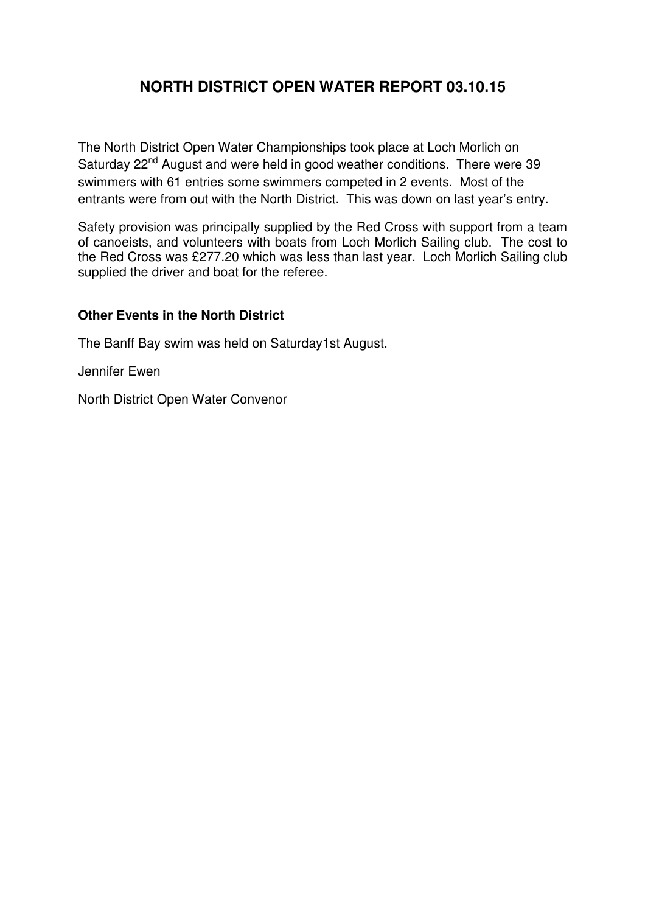# **NORTH DISTRICT OPEN WATER REPORT 03.10.15**

The North District Open Water Championships took place at Loch Morlich on Saturday 22<sup>nd</sup> August and were held in good weather conditions. There were 39 swimmers with 61 entries some swimmers competed in 2 events. Most of the entrants were from out with the North District. This was down on last year's entry.

Safety provision was principally supplied by the Red Cross with support from a team of canoeists, and volunteers with boats from Loch Morlich Sailing club. The cost to the Red Cross was £277.20 which was less than last year. Loch Morlich Sailing club supplied the driver and boat for the referee.

## **Other Events in the North District**

The Banff Bay swim was held on Saturday1st August.

Jennifer Ewen

North District Open Water Convenor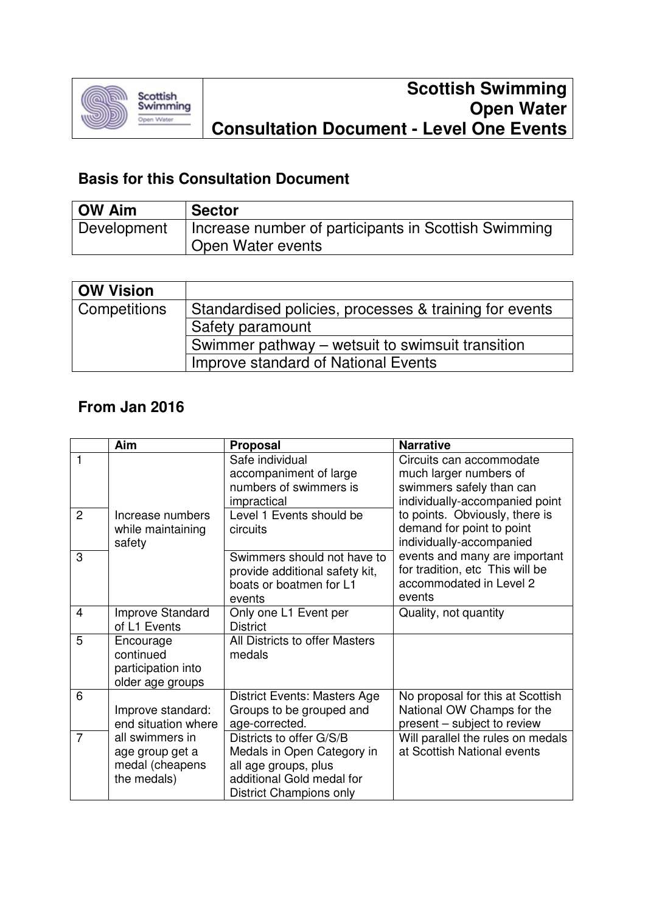

# **Basis for this Consultation Document**

| <b>OW Aim</b> | <b>Sector</b>                                        |
|---------------|------------------------------------------------------|
| Development   | Increase number of participants in Scottish Swimming |
|               | Open Water events                                    |

| <b>OW Vision</b>          |                                                        |
|---------------------------|--------------------------------------------------------|
| <sup>I</sup> Competitions | Standardised policies, processes & training for events |
|                           | Safety paramount                                       |
|                           | Swimmer pathway – wetsuit to swimsuit transition       |
|                           | Improve standard of National Events                    |

# **From Jan 2016**

|                | Aim                                                                  | <b>Proposal</b>                                                                                                                        | <b>Narrative</b>                                                                                                 |
|----------------|----------------------------------------------------------------------|----------------------------------------------------------------------------------------------------------------------------------------|------------------------------------------------------------------------------------------------------------------|
| 1              |                                                                      | Safe individual<br>accompaniment of large<br>numbers of swimmers is<br>impractical                                                     | Circuits can accommodate<br>much larger numbers of<br>swimmers safely than can<br>individually-accompanied point |
| $\overline{2}$ | Increase numbers<br>while maintaining<br>safety                      | Level 1 Events should be<br>circuits                                                                                                   | to points. Obviously, there is<br>demand for point to point<br>individually-accompanied                          |
| 3              |                                                                      | Swimmers should not have to<br>provide additional safety kit,<br>boats or boatmen for L1<br>events                                     | events and many are important<br>for tradition, etc This will be<br>accommodated in Level 2<br>events            |
| 4              | Improve Standard<br>of L1 Events                                     | Only one L1 Event per<br><b>District</b>                                                                                               | Quality, not quantity                                                                                            |
| 5              | Encourage<br>continued<br>participation into<br>older age groups     | All Districts to offer Masters<br>medals                                                                                               |                                                                                                                  |
| 6              | Improve standard:<br>end situation where                             | District Events: Masters Age<br>Groups to be grouped and<br>age-corrected.                                                             | No proposal for this at Scottish<br>National OW Champs for the<br>present - subject to review                    |
| $\overline{7}$ | all swimmers in<br>age group get a<br>medal (cheapens<br>the medals) | Districts to offer G/S/B<br>Medals in Open Category in<br>all age groups, plus<br>additional Gold medal for<br>District Champions only | Will parallel the rules on medals<br>at Scottish National events                                                 |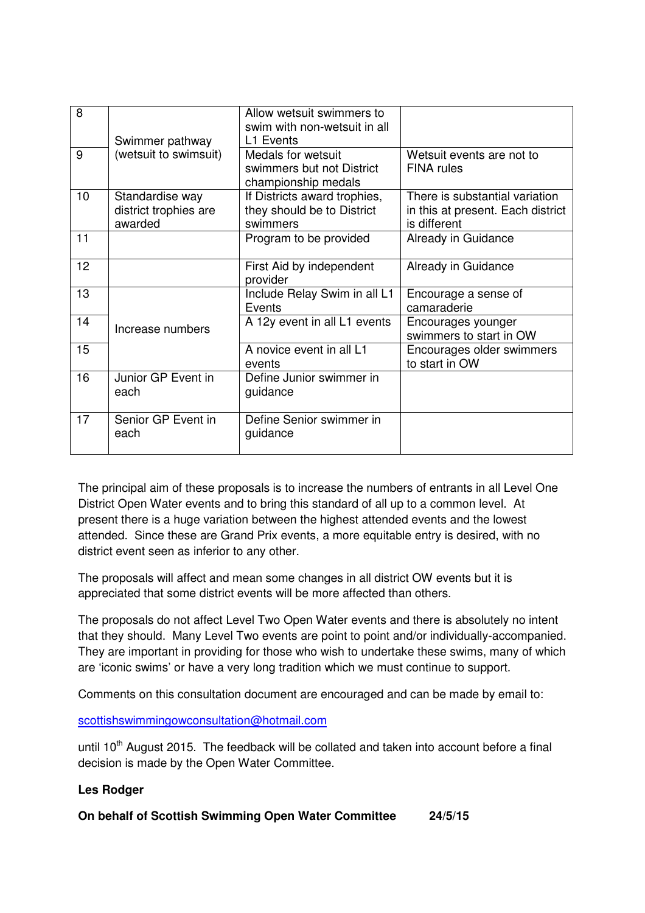| 8  |                                                     | Allow wetsuit swimmers to<br>swim with non-wetsuit in all              |                                                                                     |
|----|-----------------------------------------------------|------------------------------------------------------------------------|-------------------------------------------------------------------------------------|
|    | Swimmer pathway                                     | L1 Events                                                              |                                                                                     |
| 9  | (wetsuit to swimsuit)                               | Medals for wetsuit<br>swimmers but not District<br>championship medals | Wetsuit events are not to<br><b>FINA</b> rules                                      |
| 10 | Standardise way<br>district trophies are<br>awarded | If Districts award trophies,<br>they should be to District<br>swimmers | There is substantial variation<br>in this at present. Each district<br>is different |
| 11 |                                                     | Program to be provided                                                 | Already in Guidance                                                                 |
| 12 |                                                     | First Aid by independent<br>provider                                   | Already in Guidance                                                                 |
| 13 |                                                     | Include Relay Swim in all L1<br>Events                                 | Encourage a sense of<br>camaraderie                                                 |
| 14 | Increase numbers                                    | A 12y event in all L1 events                                           | Encourages younger<br>swimmers to start in OW                                       |
| 15 |                                                     | A novice event in all L1<br>events                                     | Encourages older swimmers<br>to start in OW                                         |
| 16 | Junior GP Event in<br>each                          | Define Junior swimmer in<br>guidance                                   |                                                                                     |
| 17 | Senior GP Event in<br>each                          | Define Senior swimmer in<br>guidance                                   |                                                                                     |

The principal aim of these proposals is to increase the numbers of entrants in all Level One District Open Water events and to bring this standard of all up to a common level. At present there is a huge variation between the highest attended events and the lowest attended. Since these are Grand Prix events, a more equitable entry is desired, with no district event seen as inferior to any other.

The proposals will affect and mean some changes in all district OW events but it is appreciated that some district events will be more affected than others.

The proposals do not affect Level Two Open Water events and there is absolutely no intent that they should. Many Level Two events are point to point and/or individually-accompanied. They are important in providing for those who wish to undertake these swims, many of which are 'iconic swims' or have a very long tradition which we must continue to support.

Comments on this consultation document are encouraged and can be made by email to:

scottishswimmingowconsultation@hotmail.com

until  $10<sup>th</sup>$  August 2015. The feedback will be collated and taken into account before a final decision is made by the Open Water Committee.

## **Les Rodger**

**On behalf of Scottish Swimming Open Water Committee 24/5/15**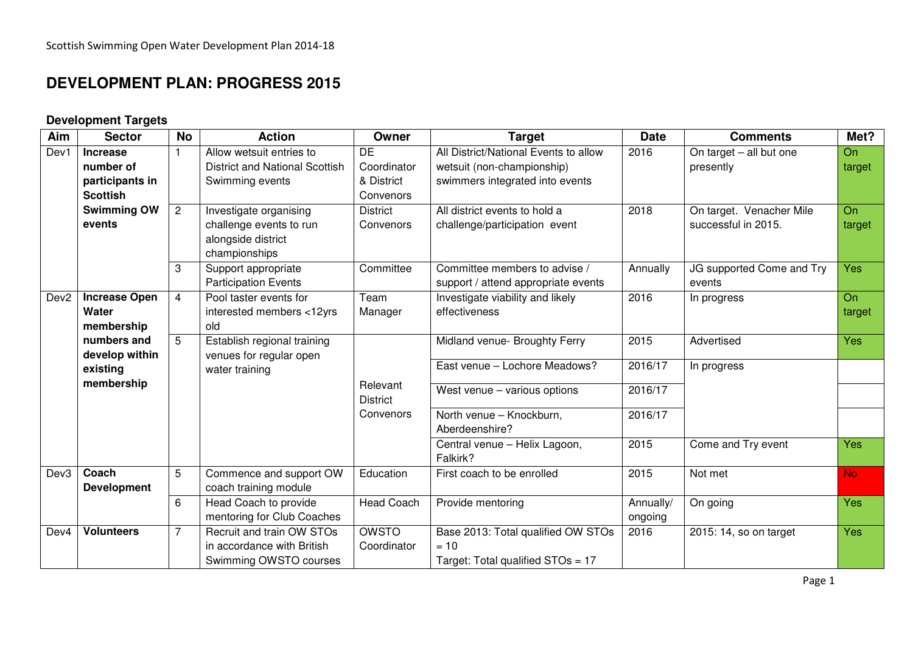# **DEVELOPMENT PLAN: PROGRESS 2015**

## **Development Targets**

| Aim              | <b>Sector</b>        | <b>No</b>      | <b>Action</b>                         | Owner                       | <b>Target</b>                             | <b>Date</b> | <b>Comments</b>           | Met?      |
|------------------|----------------------|----------------|---------------------------------------|-----------------------------|-------------------------------------------|-------------|---------------------------|-----------|
| Dev1             | <b>Increase</b>      |                | Allow wetsuit entries to              | <b>DE</b>                   | All District/National Events to allow     | 2016        | On target - all but one   | <b>On</b> |
|                  | number of            |                | <b>District and National Scottish</b> | Coordinator                 | wetsuit (non-championship)                |             | presently                 | target    |
|                  | participants in      |                | Swimming events                       | & District                  | swimmers integrated into events           |             |                           |           |
|                  | <b>Scottish</b>      |                |                                       | Convenors                   |                                           |             |                           |           |
|                  | <b>Swimming OW</b>   | $\overline{2}$ | Investigate organising                | <b>District</b>             | All district events to hold a             | 2018        | On target. Venacher Mile  | On        |
|                  | events               |                | challenge events to run               | Convenors                   | challenge/participation event             |             | successful in 2015.       | target    |
|                  |                      |                | alongside district                    |                             |                                           |             |                           |           |
|                  |                      |                | championships                         |                             |                                           |             |                           |           |
|                  |                      | 3              | Support appropriate                   | Committee                   | Committee members to advise /             | Annually    | JG supported Come and Try | Yes       |
|                  |                      |                | <b>Participation Events</b>           |                             | support / attend appropriate events       |             | events                    |           |
| Dev <sub>2</sub> | <b>Increase Open</b> | $\overline{4}$ | Pool taster events for                | Team                        | Investigate viability and likely          | 2016        | In progress               | On        |
|                  | Water                |                | interested members <12yrs             | Manager                     | effectiveness                             |             |                           | target    |
|                  | membership           |                | old                                   |                             |                                           |             |                           |           |
|                  | numbers and          | $\overline{5}$ | Establish regional training           |                             | Midland venue- Broughty Ferry             | 2015        | Advertised                | Yes       |
|                  | develop within       |                | venues for regular open               |                             | East venue - Lochore Meadows?             | 2016/17     |                           |           |
|                  | existing             |                | water training                        |                             |                                           |             | In progress               |           |
|                  | membership           |                |                                       | Relevant<br><b>District</b> | West venue $-$ various options            | 2016/17     |                           |           |
|                  |                      |                |                                       | Convenors                   | North venue - Knockburn,                  | 2016/17     |                           |           |
|                  |                      |                |                                       |                             | Aberdeenshire?                            |             |                           |           |
|                  |                      |                |                                       |                             | Central venue - Helix Lagoon,<br>Falkirk? | 2015        | Come and Try event        | Yes       |
| Dev <sub>3</sub> | Coach                | 5              | Commence and support OW               | Education                   | First coach to be enrolled                | 2015        | Not met                   | <b>No</b> |
|                  | <b>Development</b>   |                | coach training module                 |                             |                                           |             |                           |           |
|                  |                      | 6              | Head Coach to provide                 | <b>Head Coach</b>           | Provide mentoring                         | Annually/   | On going                  | Yes       |
|                  |                      |                | mentoring for Club Coaches            |                             |                                           | ongoing     |                           |           |
| Dev4             | <b>Volunteers</b>    | $\overline{7}$ | Recruit and train OW STOs             | <b>OWSTO</b>                | Base 2013: Total qualified OW STOs        | 2016        | 2015: 14, so on target    | Yes       |
|                  |                      |                | in accordance with British            | Coordinator                 | $= 10$                                    |             |                           |           |
|                  |                      |                | Swimming OWSTO courses                |                             | Target: Total qualified STOs = 17         |             |                           |           |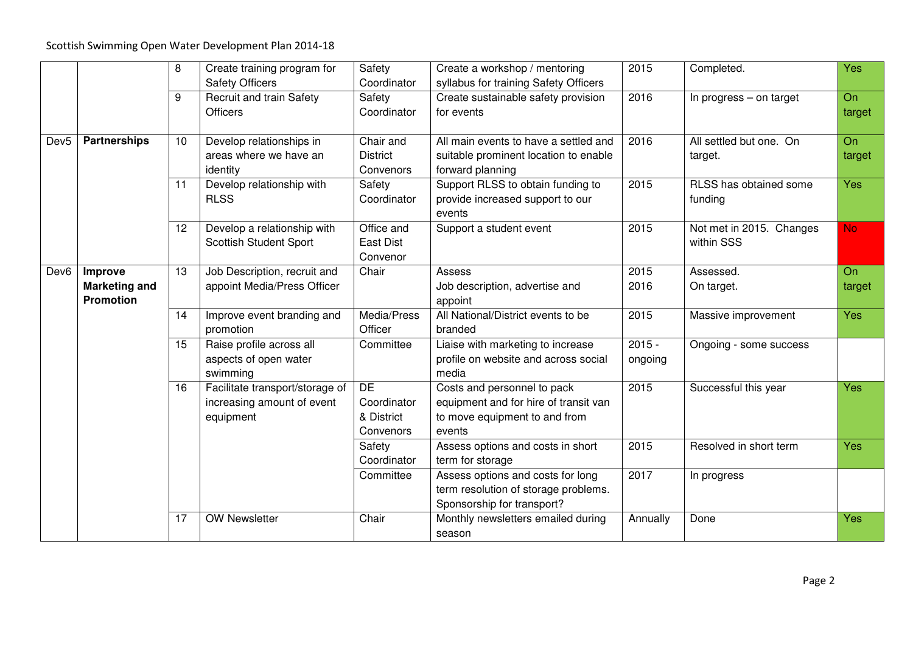|                  |                      | 8     | Create training program for     | Safety          | Create a workshop / mentoring         | 2015     | Completed.                | Yes       |
|------------------|----------------------|-------|---------------------------------|-----------------|---------------------------------------|----------|---------------------------|-----------|
|                  |                      |       | <b>Safety Officers</b>          | Coordinator     | syllabus for training Safety Officers |          |                           |           |
|                  |                      | $9\,$ | <b>Recruit and train Safety</b> | Safety          | Create sustainable safety provision   | 2016     | In progress $-$ on target | On        |
|                  |                      |       | <b>Officers</b>                 | Coordinator     | for events                            |          |                           | target    |
|                  |                      |       |                                 |                 |                                       |          |                           |           |
| Dev <sub>5</sub> | <b>Partnerships</b>  | 10    | Develop relationships in        | Chair and       | All main events to have a settled and | 2016     | All settled but one. On   | On        |
|                  |                      |       | areas where we have an          | <b>District</b> | suitable prominent location to enable |          | target.                   | target    |
|                  |                      |       | identity                        | Convenors       | forward planning                      |          |                           |           |
|                  |                      | 11    | Develop relationship with       | Safety          | Support RLSS to obtain funding to     | 2015     | RLSS has obtained some    | Yes       |
|                  |                      |       | <b>RLSS</b>                     | Coordinator     | provide increased support to our      |          | funding                   |           |
|                  |                      |       |                                 |                 | events                                |          |                           |           |
|                  |                      | 12    | Develop a relationship with     | Office and      | Support a student event               | 2015     | Not met in 2015. Changes  | <b>No</b> |
|                  |                      |       | <b>Scottish Student Sport</b>   | East Dist       |                                       |          | within SSS                |           |
|                  |                      |       |                                 | Convenor        |                                       |          |                           |           |
| Dev <sub>6</sub> | Improve              | 13    | Job Description, recruit and    | Chair           | Assess                                | 2015     | Assessed.                 | On        |
|                  | <b>Marketing and</b> |       | appoint Media/Press Officer     |                 | Job description, advertise and        | 2016     | On target.                | target    |
|                  | <b>Promotion</b>     |       |                                 |                 | appoint                               |          |                           |           |
|                  |                      | 14    | Improve event branding and      | Media/Press     | All National/District events to be    | 2015     | Massive improvement       | Yes       |
|                  |                      |       | promotion                       | Officer         | branded                               |          |                           |           |
|                  |                      | 15    | Raise profile across all        | Committee       | Liaise with marketing to increase     | $2015 -$ | Ongoing - some success    |           |
|                  |                      |       | aspects of open water           |                 | profile on website and across social  | ongoing  |                           |           |
|                  |                      |       | swimming                        |                 | media                                 |          |                           |           |
|                  |                      | 16    | Facilitate transport/storage of | DE              | Costs and personnel to pack           | 2015     | Successful this year      | Yes       |
|                  |                      |       | increasing amount of event      | Coordinator     | equipment and for hire of transit van |          |                           |           |
|                  |                      |       | equipment                       | & District      | to move equipment to and from         |          |                           |           |
|                  |                      |       |                                 | Convenors       | events                                |          |                           |           |
|                  |                      |       |                                 | Safety          | Assess options and costs in short     | 2015     | Resolved in short term    | Yes       |
|                  |                      |       |                                 | Coordinator     | term for storage                      |          |                           |           |
|                  |                      |       |                                 | Committee       | Assess options and costs for long     | 2017     | In progress               |           |
|                  |                      |       |                                 |                 | term resolution of storage problems.  |          |                           |           |
|                  |                      |       |                                 |                 | Sponsorship for transport?            |          |                           |           |
|                  |                      | 17    | <b>OW Newsletter</b>            | Chair           | Monthly newsletters emailed during    | Annually | Done                      | Yes       |
|                  |                      |       |                                 |                 | season                                |          |                           |           |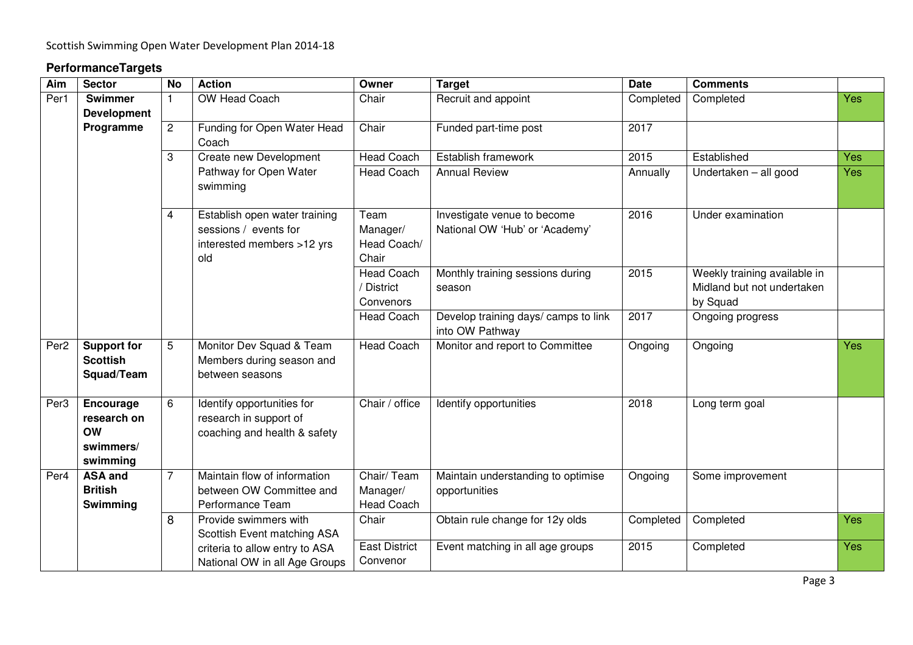## **PerformanceTargets**

| Aim              | <b>Sector</b>                                                  | <b>No</b>      | <b>Action</b>                                                                               | Owner                                        | <b>Target</b>                                                 | <b>Date</b> | <b>Comments</b>                                                        |     |
|------------------|----------------------------------------------------------------|----------------|---------------------------------------------------------------------------------------------|----------------------------------------------|---------------------------------------------------------------|-------------|------------------------------------------------------------------------|-----|
| Per1             | <b>Swimmer</b><br><b>Development</b>                           | 1              | OW Head Coach                                                                               | Chair                                        | Recruit and appoint                                           | Completed   | Completed                                                              | Yes |
|                  | Programme                                                      | $\overline{c}$ | Funding for Open Water Head<br>Coach                                                        | Chair                                        | Funded part-time post                                         | 2017        |                                                                        |     |
|                  |                                                                | 3              | Create new Development                                                                      | <b>Head Coach</b>                            | Establish framework                                           | 2015        | Established                                                            | Yes |
|                  |                                                                |                | Pathway for Open Water<br>swimming                                                          | <b>Head Coach</b>                            | <b>Annual Review</b>                                          | Annually    | Undertaken - all good                                                  | Yes |
|                  |                                                                | 4              | Establish open water training<br>sessions / events for<br>interested members >12 yrs<br>old | Team<br>Manager/<br>Head Coach/<br>Chair     | Investigate venue to become<br>National OW 'Hub' or 'Academy' | 2016        | Under examination                                                      |     |
|                  |                                                                |                |                                                                                             | <b>Head Coach</b><br>/ District<br>Convenors | Monthly training sessions during<br>season                    | 2015        | Weekly training available in<br>Midland but not undertaken<br>by Squad |     |
|                  |                                                                |                |                                                                                             | <b>Head Coach</b>                            | Develop training days/ camps to link<br>into OW Pathway       | 2017        | Ongoing progress                                                       |     |
| Per <sub>2</sub> | <b>Support for</b><br><b>Scottish</b><br>Squad/Team            | 5              | Monitor Dev Squad & Team<br>Members during season and<br>between seasons                    | <b>Head Coach</b>                            | Monitor and report to Committee                               | Ongoing     | Ongoing                                                                | Yes |
| Per <sub>3</sub> | Encourage<br>research on<br><b>OW</b><br>swimmers/<br>swimming | 6              | Identify opportunities for<br>research in support of<br>coaching and health & safety        | Chair / office                               | Identify opportunities                                        | 2018        | Long term goal                                                         |     |
| Per <sub>4</sub> | <b>ASA and</b><br><b>British</b><br>Swimming                   | $\overline{7}$ | Maintain flow of information<br>between OW Committee and<br>Performance Team                | Chair/ Team<br>Manager/<br><b>Head Coach</b> | Maintain understanding to optimise<br>opportunities           | Ongoing     | Some improvement                                                       |     |
|                  |                                                                | 8              | Provide swimmers with<br>Scottish Event matching ASA                                        | Chair                                        | Obtain rule change for 12y olds                               | Completed   | Completed                                                              | Yes |
|                  |                                                                |                | criteria to allow entry to ASA<br>National OW in all Age Groups                             | <b>East District</b><br>Convenor             | Event matching in all age groups                              | 2015        | Completed                                                              | Yes |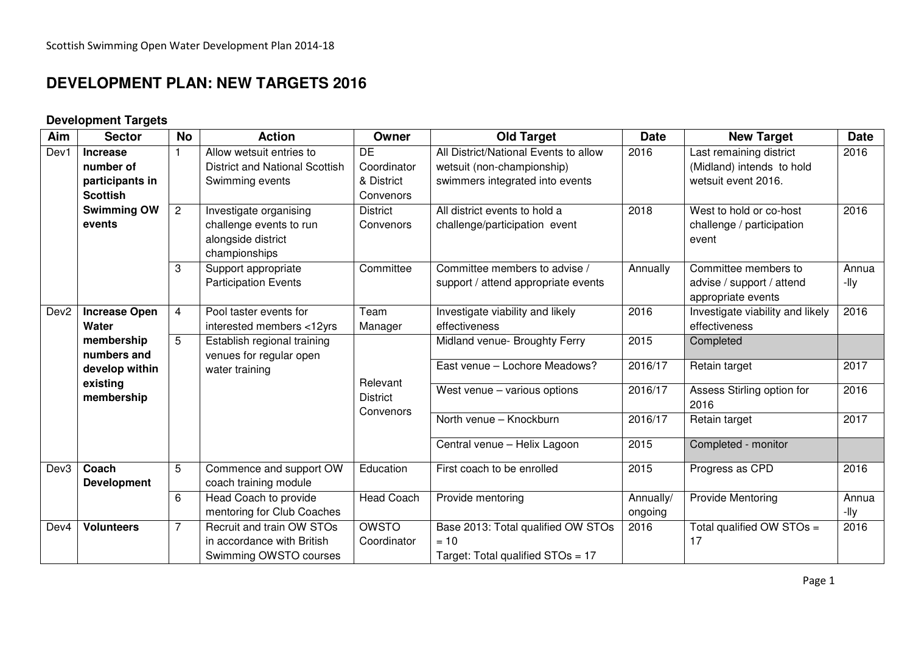# **DEVELOPMENT PLAN: NEW TARGETS 2016**

## **Development Targets**

| Aim              | <b>Sector</b>                      | <b>No</b>      | <b>Action</b>                                                                            | Owner                          | <b>Old Target</b>                                                                 | <b>Date</b>          | <b>New Target</b>                                                       | <b>Date</b>   |
|------------------|------------------------------------|----------------|------------------------------------------------------------------------------------------|--------------------------------|-----------------------------------------------------------------------------------|----------------------|-------------------------------------------------------------------------|---------------|
| Dev1             | <b>Increase</b><br>number of       | 1              | Allow wetsuit entries to<br><b>District and National Scottish</b>                        | $\overline{DE}$<br>Coordinator | All District/National Events to allow<br>wetsuit (non-championship)               | 2016                 | Last remaining district<br>(Midland) intends to hold                    | 2016          |
|                  | participants in<br><b>Scottish</b> |                | Swimming events                                                                          | & District<br>Convenors        | swimmers integrated into events                                                   |                      | wetsuit event 2016.                                                     |               |
|                  | <b>Swimming OW</b><br>events       | $\overline{2}$ | Investigate organising<br>challenge events to run<br>alongside district<br>championships | <b>District</b><br>Convenors   | All district events to hold a<br>challenge/participation event                    | 2018                 | West to hold or co-host<br>challenge / participation<br>event           | 2016          |
|                  |                                    | 3              | Support appropriate<br><b>Participation Events</b>                                       | Committee                      | Committee members to advise /<br>support / attend appropriate events              | Annually             | Committee members to<br>advise / support / attend<br>appropriate events | Annua<br>-lly |
| Dev <sub>2</sub> | <b>Increase Open</b><br>Water      | $\overline{4}$ | Pool taster events for<br>interested members <12yrs                                      | Team<br>Manager                | Investigate viability and likely<br>effectiveness                                 | 2016                 | Investigate viability and likely<br>effectiveness                       | 2016          |
|                  | membership<br>numbers and          | 5              | <b>Establish regional training</b><br>venues for regular open                            |                                | Midland venue- Broughty Ferry                                                     | 2015                 | Completed                                                               |               |
|                  | develop within<br>existing         |                | water training                                                                           | Relevant                       | East venue - Lochore Meadows?                                                     | 2016/17              | Retain target                                                           | 2017          |
|                  | membership                         |                |                                                                                          | <b>District</b><br>Convenors   | West venue - various options                                                      | 2016/17              | Assess Stirling option for<br>2016                                      | 2016          |
|                  |                                    |                |                                                                                          |                                | North venue - Knockburn                                                           | 2016/17              | Retain target                                                           | 2017          |
|                  |                                    |                |                                                                                          |                                | Central venue - Helix Lagoon                                                      | 2015                 | Completed - monitor                                                     |               |
| Dev3             | Coach<br><b>Development</b>        | 5              | Commence and support OW<br>coach training module                                         | Education                      | First coach to be enrolled                                                        | 2015                 | Progress as CPD                                                         | 2016          |
|                  |                                    | 6              | Head Coach to provide<br>mentoring for Club Coaches                                      | <b>Head Coach</b>              | Provide mentoring                                                                 | Annually/<br>ongoing | <b>Provide Mentoring</b>                                                | Annua<br>-lly |
| Dev4             | <b>Volunteers</b>                  | $\overline{7}$ | Recruit and train OW STOs<br>in accordance with British<br>Swimming OWSTO courses        | <b>OWSTO</b><br>Coordinator    | Base 2013: Total qualified OW STOs<br>$= 10$<br>Target: Total qualified STOs = 17 | 2016                 | Total qualified OW STOs =<br>17                                         | 2016          |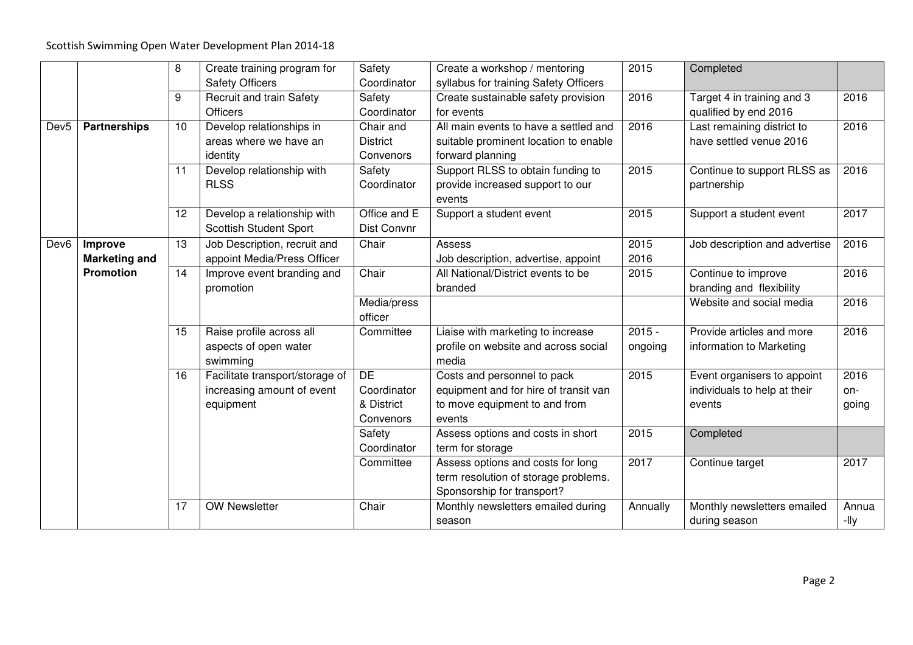|                  |                      | 8                | Create training program for     | Safety          | Create a workshop / mentoring         | 2015     | Completed                     |       |
|------------------|----------------------|------------------|---------------------------------|-----------------|---------------------------------------|----------|-------------------------------|-------|
|                  |                      |                  | <b>Safety Officers</b>          | Coordinator     | syllabus for training Safety Officers |          |                               |       |
|                  |                      | $\boldsymbol{9}$ | <b>Recruit and train Safety</b> | Safety          | Create sustainable safety provision   | 2016     | Target 4 in training and 3    | 2016  |
|                  |                      |                  | <b>Officers</b>                 | Coordinator     | for events                            |          | qualified by end 2016         |       |
| Dev <sub>5</sub> | <b>Partnerships</b>  | 10               | Develop relationships in        | Chair and       | All main events to have a settled and | 2016     | Last remaining district to    | 2016  |
|                  |                      |                  | areas where we have an          | <b>District</b> | suitable prominent location to enable |          | have settled venue 2016       |       |
|                  |                      |                  | identity                        | Convenors       | forward planning                      |          |                               |       |
|                  |                      | 11               | Develop relationship with       | Safety          | Support RLSS to obtain funding to     | 2015     | Continue to support RLSS as   | 2016  |
|                  |                      |                  | <b>RLSS</b>                     | Coordinator     | provide increased support to our      |          | partnership                   |       |
|                  |                      |                  |                                 |                 | events                                |          |                               |       |
|                  |                      | 12               | Develop a relationship with     | Office and E    | Support a student event               | 2015     | Support a student event       | 2017  |
|                  |                      |                  | <b>Scottish Student Sport</b>   | Dist Convnr     |                                       |          |                               |       |
| Dev <sub>6</sub> | Improve              | 13               | Job Description, recruit and    | Chair           | Assess                                | 2015     | Job description and advertise | 2016  |
|                  | <b>Marketing and</b> |                  | appoint Media/Press Officer     |                 | Job description, advertise, appoint   | 2016     |                               |       |
|                  | <b>Promotion</b>     | 14               | Improve event branding and      | Chair           | All National/District events to be    | 2015     | Continue to improve           | 2016  |
|                  |                      |                  | promotion                       |                 | branded                               |          | branding and flexibility      |       |
|                  |                      |                  |                                 | Media/press     |                                       |          | Website and social media      | 2016  |
|                  |                      |                  |                                 | officer         |                                       |          |                               |       |
|                  |                      | 15               | Raise profile across all        | Committee       | Liaise with marketing to increase     | $2015 -$ | Provide articles and more     | 2016  |
|                  |                      |                  | aspects of open water           |                 | profile on website and across social  | ongoing  | information to Marketing      |       |
|                  |                      |                  | swimming                        |                 | media                                 |          |                               |       |
|                  |                      | 16               | Facilitate transport/storage of | DE              | Costs and personnel to pack           | 2015     | Event organisers to appoint   | 2016  |
|                  |                      |                  | increasing amount of event      | Coordinator     | equipment and for hire of transit van |          | individuals to help at their  | on-   |
|                  |                      |                  | equipment                       | & District      | to move equipment to and from         |          | events                        | going |
|                  |                      |                  |                                 | Convenors       | events                                |          |                               |       |
|                  |                      |                  |                                 | Safety          | Assess options and costs in short     | 2015     | Completed                     |       |
|                  |                      |                  |                                 | Coordinator     | term for storage                      |          |                               |       |
|                  |                      |                  |                                 | Committee       | Assess options and costs for long     | 2017     | Continue target               | 2017  |
|                  |                      |                  |                                 |                 | term resolution of storage problems.  |          |                               |       |
|                  |                      |                  |                                 |                 | Sponsorship for transport?            |          |                               |       |
|                  |                      | 17               | <b>OW Newsletter</b>            | Chair           | Monthly newsletters emailed during    | Annually | Monthly newsletters emailed   | Annua |
|                  |                      |                  |                                 |                 | season                                |          | during season                 | -lly  |